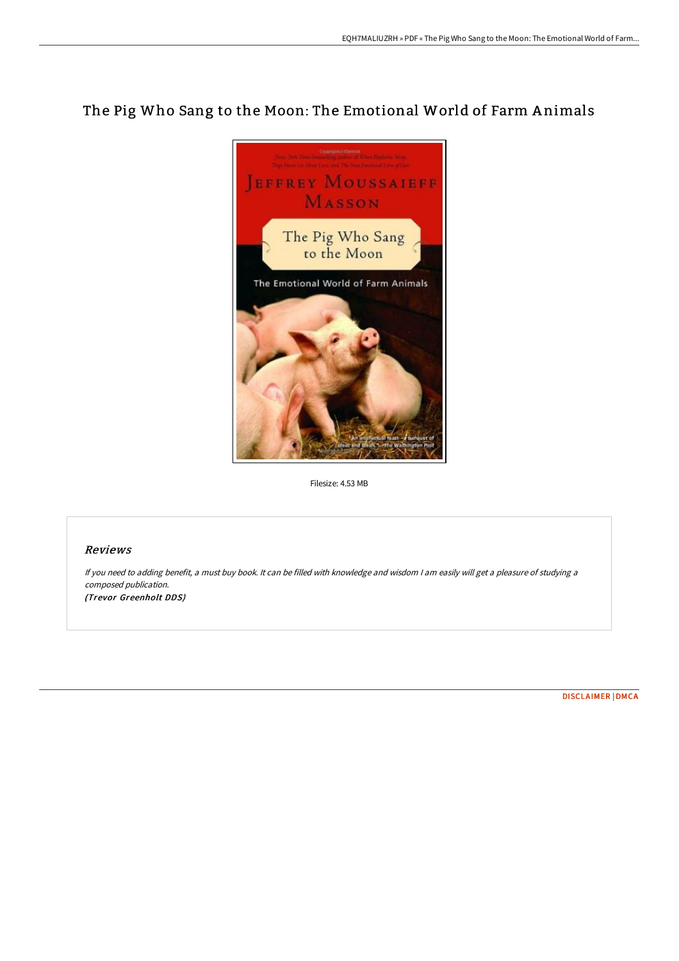## The Pig Who Sang to the Moon: The Emotional World of Farm A nimals



Filesize: 4.53 MB

## Reviews

If you need to adding benefit, <sup>a</sup> must buy book. It can be filled with knowledge and wisdom <sup>I</sup> am easily will get <sup>a</sup> pleasure of studying <sup>a</sup> composed publication. (Trevor Greenholt DDS)

[DISCLAIMER](http://albedo.media/disclaimer.html) | [DMCA](http://albedo.media/dmca.html)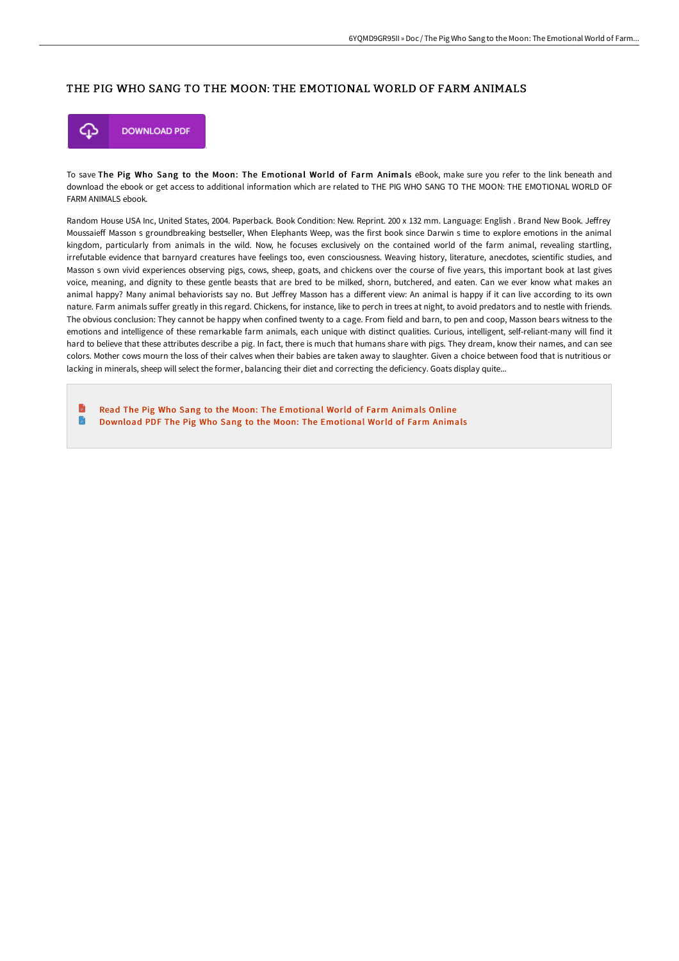## THE PIG WHO SANG TO THE MOON: THE EMOTIONAL WORLD OF FARM ANIMALS



To save The Pig Who Sang to the Moon: The Emotional World of Farm Animals eBook, make sure you refer to the link beneath and download the ebook or get access to additional information which are related to THE PIG WHO SANG TO THE MOON: THE EMOTIONAL WORLD OF FARM ANIMALS ebook.

Random House USA Inc, United States, 2004. Paperback. Book Condition: New. Reprint. 200 x 132 mm. Language: English . Brand New Book. Jeffrey Moussaieff Masson s groundbreaking bestseller, When Elephants Weep, was the first book since Darwin s time to explore emotions in the animal kingdom, particularly from animals in the wild. Now, he focuses exclusively on the contained world of the farm animal, revealing startling, irrefutable evidence that barnyard creatures have feelings too, even consciousness. Weaving history, literature, anecdotes, scientific studies, and Masson s own vivid experiences observing pigs, cows, sheep, goats, and chickens over the course of five years, this important book at last gives voice, meaning, and dignity to these gentle beasts that are bred to be milked, shorn, butchered, and eaten. Can we ever know what makes an animal happy? Many animal behaviorists say no. But Jeffrey Masson has a different view: An animal is happy if it can live according to its own nature. Farm animals suffer greatly in this regard. Chickens, for instance, like to perch in trees at night, to avoid predators and to nestle with friends. The obvious conclusion: They cannot be happy when confined twenty to a cage. From field and barn, to pen and coop, Masson bears witness to the emotions and intelligence of these remarkable farm animals, each unique with distinct qualities. Curious, intelligent, self-reliant-many will find it hard to believe that these attributes describe a pig. In fact, there is much that humans share with pigs. They dream, know their names, and can see colors. Mother cows mourn the loss of their calves when their babies are taken away to slaughter. Given a choice between food that is nutritious or lacking in minerals, sheep will select the former, balancing their diet and correcting the deficiency. Goats display quite...

B Read The Pig Who Sang to the Moon: The [Emotional](http://albedo.media/the-pig-who-sang-to-the-moon-the-emotional-world-2.html) World of Farm Animals Online  $\blacksquare$ Download PDF The Pig Who Sang to the Moon: The [Emotional](http://albedo.media/the-pig-who-sang-to-the-moon-the-emotional-world-2.html) World of Farm Animals